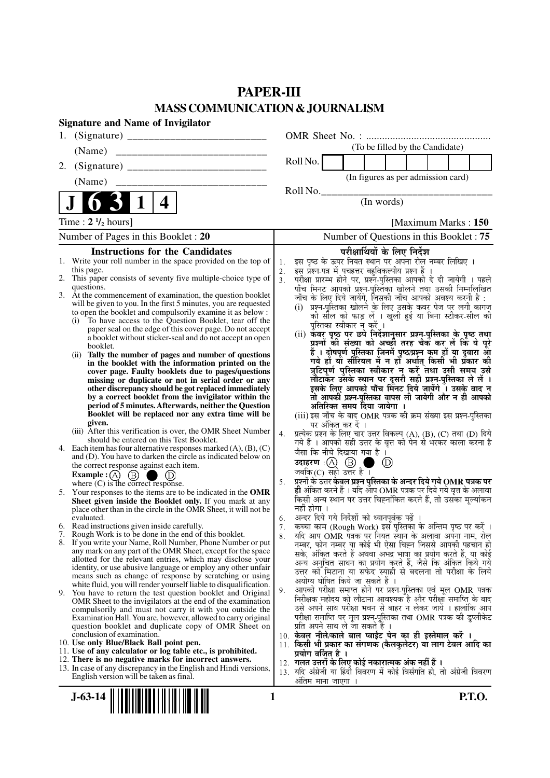# **PAPER-III MASS COMMUNICATION & JOURNALISM**

| <b>Signature and Name of Invigilator</b>                                                                                                   |                                                                                                                                           |
|--------------------------------------------------------------------------------------------------------------------------------------------|-------------------------------------------------------------------------------------------------------------------------------------------|
|                                                                                                                                            |                                                                                                                                           |
| (Name)                                                                                                                                     | (To be filled by the Candidate)                                                                                                           |
| 2.                                                                                                                                         | Roll No.                                                                                                                                  |
| (Name)                                                                                                                                     | (In figures as per admission card)                                                                                                        |
|                                                                                                                                            | Roll No.                                                                                                                                  |
| 4                                                                                                                                          | (In words)                                                                                                                                |
| Time : $2 \frac{1}{2}$ hours]                                                                                                              | [Maximum Marks: 150                                                                                                                       |
| Number of Pages in this Booklet : 20                                                                                                       | Number of Questions in this Booklet: 75                                                                                                   |
| <b>Instructions for the Candidates</b>                                                                                                     | परीक्षार्थियों के लिए निर्देश                                                                                                             |
| 1. Write your roll number in the space provided on the top of                                                                              | इस पृष्ठ के ऊपर नियत स्थान पर अपना रोल नम्बर लिखिए ।<br>1.                                                                                |
| this page.<br>2. This paper consists of seventy five multiple-choice type of                                                               | इस प्रश्न-पत्र में पचहत्तर बहुविकल्पीय प्रश्न हैं ।<br>2.<br>3 <sub>1</sub>                                                               |
| questions.                                                                                                                                 | परीक्षा प्रारम्भ होने पर, प्रश्नॅं-पुस्तिका आपको दे दी जायेगी । पहले<br>पाँच मिनट आपको प्रश्नॅ-पुस्तिका खोलने तथा उसकी निम्नलिखित         |
| 3. At the commencement of examination, the question booklet                                                                                | जाँच के लिए दिये जायेंगे, जिसकी जाँच आपको अवश्य करनी है :                                                                                 |
| will be given to you. In the first 5 minutes, you are requested<br>to open the booklet and compulsorily examine it as below :              | (i) प्रश्न-पुस्तिका खोलने के लिए उसके कवर पेज पर लगी कागज                                                                                 |
| To have access to the Question Booklet, tear off the<br>(i)                                                                                | की सील को फाड़ लें । खुली हुई या बिना स्टीकर-सील की                                                                                       |
| paper seal on the edge of this cover page. Do not accept                                                                                   | पुस्तिका स्वीकार न करें ।                                                                                                                 |
| a booklet without sticker-seal and do not accept an open                                                                                   | (ii) कँवर पृष्ठ पर छपे निर्देशानुसार प्रश्न-पुस्तिका के पृष्ठ तथा<br>प्रश्नों की संख्या को अच्छी तरह चैक कर लें कि ये पूरे                |
| booklet.<br>Tally the number of pages and number of questions<br>(i)                                                                       |                                                                                                                                           |
| in the booklet with the information printed on the                                                                                         | हैं । दोषपूर्ण पुस्तिका जिनमें पृष्ठ/प्रश्न कम हों या दुबारा आ<br>गये हों या सीरियल में न हो अर्थात् किसी भी प्रकार की                    |
| cover page. Faulty booklets due to pages/questions                                                                                         | त्रुटिपूर्ण पुस्तिका स्वीकार न करें तथा उसी समय उसे                                                                                       |
| missing or duplicate or not in serial order or any                                                                                         | लौटाकर उसके स्थान पर दूसरी सही प्रश्न-पुस्तिका ले लें ।                                                                                   |
| other discrepancy should be got replaced immediately<br>by a correct booklet from the invigilator within the                               | इसके लिए आपको पाँच मिंनट दिये जायेंगे ँ। उसके बाद न<br>तो आपकी प्रश्न-पुस्तिका वापस ली जायेगी और न ही आपको                                |
| period of 5 minutes. Afterwards, neither the Question                                                                                      | अतिरिक्त समय दिया जायेगा ।                                                                                                                |
| Booklet will be replaced nor any extra time will be                                                                                        | (iii) इस जाँच के बाद OMR पत्रक की क्रम संख्या इस प्रश्न-पुस्तिका                                                                          |
| given.                                                                                                                                     | पर अंकित कर दें ।                                                                                                                         |
| (iii) After this verification is over, the OMR Sheet Number<br>should be entered on this Test Booklet.                                     | प्रत्येक प्रश्न के लिए चार उत्तर विकल्प (A), (B), (C) तथा (D) दिये<br>4.                                                                  |
| 4. Each item has four alternative responses marked $(A)$ , $(B)$ , $(C)$                                                                   | गये हैं । आपको सही उत्तर के वृत्त को पेन से भरकर काला करना है<br>जैसा कि नीचे दिखाया गया है ।                                             |
| and (D). You have to darken the circle as indicated below on                                                                               | उदाहरण: $\textcircled{A}$ $\textcircled{B}$ ।<br>$\circledcirc$                                                                           |
| the correct response against each item.                                                                                                    | जबकि $(C)$ सही उत्तर है।                                                                                                                  |
| <b>Example :</b> $\overrightarrow{A}$ $\overrightarrow{B}$ $\overrightarrow{D}$ $\overrightarrow{D}$<br>where (C) is the correct response. | प्रश्नों के उत्तर केवल प्रश्न पुस्तिका के अन्दर दिये गये OMR पत्रक पर<br>5.                                                               |
| 5. Your responses to the items are to be indicated in the OMR                                                                              | <b>ही</b> अंकित करने हैं । यदि आप OMR पत्रक पर दिये गये वृत्त के अलावा<br>किसी अन्य स्थान पर उत्तर चिह्नांकित करते हैं, तो उसका मूल्यांकन |
| Sheet given inside the Booklet only. If you mark at any                                                                                    |                                                                                                                                           |
| place other than in the circle in the OMR Sheet, it will not be<br>evaluated.                                                              | नहीं होगा ।<br>अन्दर दिये गये निर्देशों को ध्यानपूर्वक पढ़ें ।                                                                            |
| 6. Read instructions given inside carefully.                                                                                               | 6.<br>कच्चा काम (Rough Work) इस पुस्तिका के अन्तिम पृष्ठ पर करें ।<br>7.                                                                  |
| 7. Rough Work is to be done in the end of this booklet.                                                                                    | यदि आप OMR पत्रक पर नियत स्थान के अलावा अपना नाम, रोल<br>8.                                                                               |
| 8. If you write your Name, Roll Number, Phone Number or put                                                                                | नम्बर, फोन नम्बर या कोई भी ऐसा चिह्न जिससे आपकी पहचान हो                                                                                  |
| any mark on any part of the OMR Sheet, except for the space<br>allotted for the relevant entries, which may disclose your                  | सके, अंकित करते हैं अथवा अभद्र भाषा का प्रयोग करते हैं, या कोई                                                                            |
| identity, or use abusive language or employ any other unfair                                                                               | अन्य अनुचित साधन का प्रयोग करते हैं, जैसे कि अंकित किये गये                                                                               |
| means such as change of response by scratching or using                                                                                    | उत्तर को मिटाना या सफेद स्याही से बदलना तो परीक्षा के लिये<br>अयोग्य घोषित किये जा सकते हैं ।                                             |
| white fluid, you will render yourself liable to disqualification.                                                                          | आपको परीक्षा समाप्त होने पर प्रश्न-पुस्तिका एवं मूल OMR पत्रक<br>9.                                                                       |
| 9. You have to return the test question booklet and Original<br>OMR Sheet to the invigilators at the end of the examination                | निरीक्षक महोदय को लौटाना आवश्यक है और परीक्षा समाप्ति के बाद                                                                              |
| compulsorily and must not carry it with you outside the                                                                                    | उसे अपने साथ परीक्षा भवन से बाहर न लेकर जायें । हालांकि आप                                                                                |
| Examination Hall. You are, however, allowed to carry original                                                                              | परीक्षा समाप्ति पर मूल प्रश्न-पुस्तिका तथा OMR पत्रक की डुप्लीकेट                                                                         |
| question booklet and duplicate copy of OMR Sheet on                                                                                        | प्रति अपने साथ ले जा सकते हैं ।                                                                                                           |
| conclusion of examination.<br>10. Use only Blue/Black Ball point pen.                                                                      | 10. केवल नीले/काले बाल प्वाईंट पेन का ही इस्तेमाल करें ।<br>11. किसी भी प्रकार का संगणक (कैलकुलेटर) या लाग टेबल आदि का                    |
| 11. Use of any calculator or log table etc., is prohibited.                                                                                | प्रयोग वर्जित है ।                                                                                                                        |
| 12. There is no negative marks for incorrect answers.                                                                                      | 12. गलत उत्तरों के लिए कोई नकारात्मक अंक नहीं हैं ।                                                                                       |
| 13. In case of any discrepancy in the English and Hindi versions,<br>English version will be taken as final.                               | 13. यदि अंग्रेजी या हिंदी विवरण में कोई विसंगति हो, तो अंग्रेजी विवरण                                                                     |
|                                                                                                                                            | ओतम माना जाएगा                                                                                                                            |
| $\begin{smallmatrix} \bullet & \bullet & \bullet & \bullet & \bullet \end{smallmatrix}$                                                    |                                                                                                                                           |

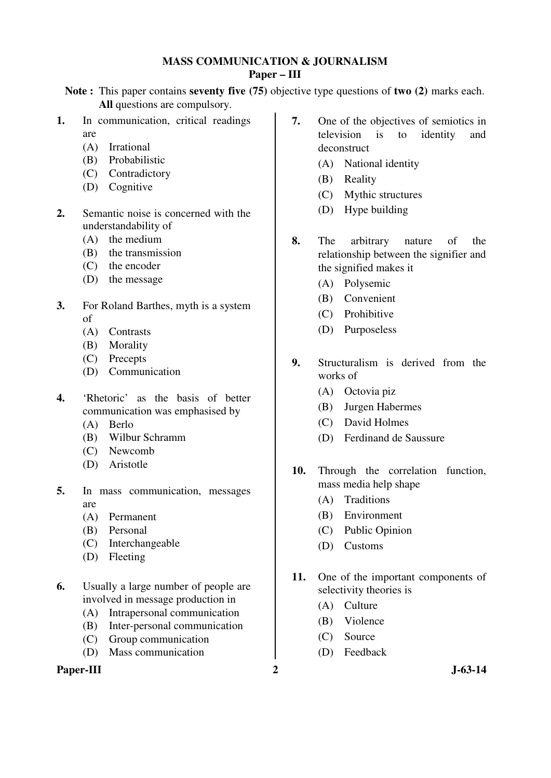# **MASS COMMUNICATION & JOURNALISM Paper – III**

**Note :** This paper contains **seventy five (75)** objective type questions of **two (2)** marks each. **All** questions are compulsory.

- **1.** In communication, critical readings are
	- (A) Irrational
	- (B) Probabilistic
	- (C) Contradictory
	- (D) Cognitive
- **2.** Semantic noise is concerned with the understandability of
	- (A) the medium
	- (B) the transmission
	- (C) the encoder
	- (D) the message
- **3.** For Roland Barthes, myth is a system of
	- (A) Contrasts
	- (B) Morality
	- (C) Precepts
	- (D) Communication
- **4.** 'Rhetoric' as the basis of better communication was emphasised by
	- (A) Berlo
	- (B) Wilbur Schramm
	- (C) Newcomb
	- (D) Aristotle
- **5.** In mass communication, messages are
	- (A) Permanent
	- (B) Personal
	- (C) Interchangeable
	- (D) Fleeting
- **6.** Usually a large number of people are involved in message production in
	- (A) Intrapersonal communication
	- (B) Inter-personal communication
	- (C) Group communication
	- (D) Mass communication

# Paper-III 2 J-63-14

- **7.** One of the objectives of semiotics in television is to identity and deconstruct
	- (A) National identity
	- (B) Reality
	- (C) Mythic structures
	- (D) Hype building
- **8.** The arbitrary nature of the relationship between the signifier and the signified makes it
	- (A) Polysemic
	- (B) Convenient
	- (C) Prohibitive
	- (D) Purposeless
- **9.** Structuralism is derived from the works of
	- (A) Octovia piz
	- (B) Jurgen Habermes
	- (C) David Holmes
	- (D) Ferdinand de Saussure
- **10.** Through the correlation function, mass media help shape
	- (A) Traditions
	- (B) Environment
	- (C) Public Opinion
	- (D) Customs
- **11.** One of the important components of selectivity theories is
	- (A) Culture
	- (B) Violence
	- (C) Source
	- (D) Feedback
-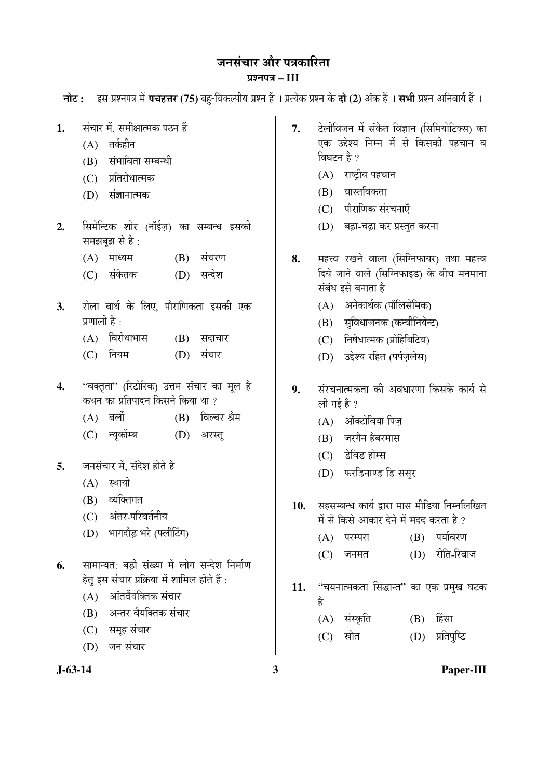जनसंचार और पत्रकारिता ¯ÖÏ¿®Ö¯Ö¡Ö **– III** 

**नोट: द्रिस प्रश्नपत्र में पचहत्तर (75)** बह-विकल्पीय प्रश्न हैं । प्रत्येक प्रश्न के **दो (2)** अंक हैं । सभी प्रश्न अनिवार्य हैं ।

- 1. संचार में. समीक्षात्मक पठन हैं
	- $(A)$  तर्कहीन
	- (B) संभाविता सम्बन्धी
	- (C) प्रतिरोधात्मक
	- (D) संज्ञानात्मक
- 2. सिमेन्टिक शोर (नॉईज़) का सम्बन्ध इसकी समझबझ $\overline{a}$  से है:
	- $(A)$  माध्यम  $(B)$  संचरण
	- (C) संकेतक (D) सन्देश
- 3. रोला बार्थ के लिए. पौराणिकता इसकी एक प्रणाली है $\cdot$ 
	- $(A)$  विरोधाभास  $(B)$  सदाचार
	- (C) नियम (D) संचार
- **4.** "वक्तृता" (रिटोरिक) उत्तम संचार का मूल है कथन का प्रतिपादन किसने किया था ?
	- (A) बर्लो (B) विल्बर श्रैम
	- (C) न्यकॉम्ब (D) अरस्त्
- 5. जनसंचार में, संदेश होते हैं
	- $(A)$  स्थायी
	- (B) व्यक्तिगत
	- (C) अंतर-परिवर्तनीय
	- (D) भागदौड़ भरे (फ्लीटिंग)
- 6. सामान्यत: बड़ी संख्या में लोग सन्देश निर्माण हेत् इस संचार प्रक्रिया में शामिल होते हैं :
	- $(A)$  अनिर्वेयक्तिक संचार
	- (B) अन्तर वैयक्तिक संचार
	- (C) समूह संचार
	- (D) जन संचार
- 7. ∑लीविजन में संकेत विज्ञान (सिमियोटिक्स) का एक उद्देश्य निम्न में से किसकी पहचान व विघटन है $?$ 
	- (A) राष्ट्रीय पहचान
	- $(B)$  वास्तविकता
	- $(C)$  पौराणिक संरचनाएँ
	- (D) बढ़ा-चढ़ा कर प्रस्तुत करना
- 8. महत्त्व रखने वाला (सिग्निफायर) तथा महत्त्व दिये जाने वाले (सिग्निफाइड) के बीच मनमाना संबंध इसे बनाता है
	- (A) अनेकार्थक (पॉलिसेमिक)
	- (B) सुविधाजनक (कन्वीनियेन्ट)
	- $(C)$  निषेधात्मक (प्रोहिबिटिव)
	- (D) उद्देश्य रहित (पर्पजलेस)
- **9.** संरचनात्मकता की अवधारणा किसके कार्य से ली गई है $\gamma$ 
	- $(A)$  ऑक्टोविया पिज
	- (B) जरगैन हैबरमास
	- (C) डेविड होम्स
	- (D) फरडिनाण्ड डि ससुर
- 10. सहसम्बन्ध कार्य द्वारा मास मीडिया निम्नलिखित में से किसे आकार देने में मदद करता है ?
	- (A) परम्परा (B) पर्यावरण
	- (C) जनमत (D) रीति-रिवाज
- 11. "चयनात्मकता सिद्धान्त" का एक प्रमुख घटक Æîü
	- (A) संस्कृति (B) हिंसा
	- (C) स्रोत (D) प्रतिपृष्टि

**J-63-14 3 Paper-III**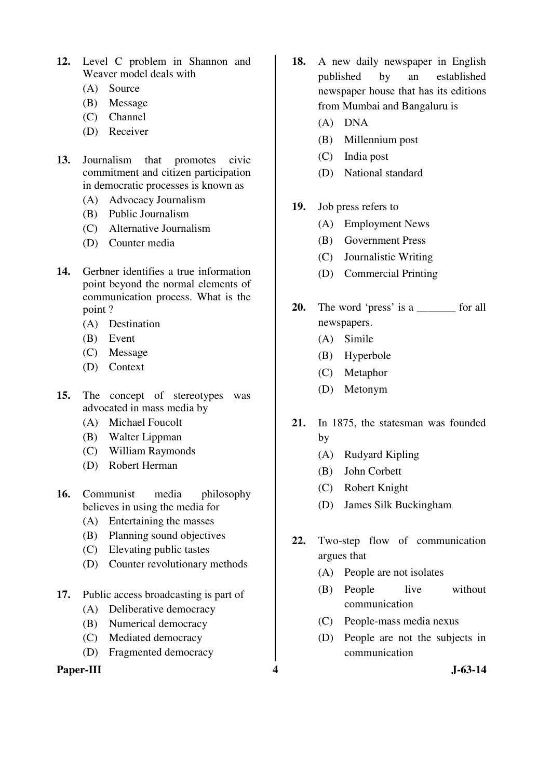- **12.** Level C problem in Shannon and Weaver model deals with
	- (A) Source
	- (B) Message
	- (C) Channel
	- (D) Receiver
- **13.** Journalism that promotes civic commitment and citizen participation in democratic processes is known as
	- (A) Advocacy Journalism
	- (B) Public Journalism
	- (C) Alternative Journalism
	- (D) Counter media
- **14.** Gerbner identifies a true information point beyond the normal elements of communication process. What is the point ?
	- (A) Destination
	- (B) Event
	- (C) Message
	- (D) Context
- **15.** The concept of stereotypes was advocated in mass media by
	- (A) Michael Foucolt
	- (B) Walter Lippman
	- (C) William Raymonds
	- (D) Robert Herman
- **16.** Communist media philosophy believes in using the media for
	- (A) Entertaining the masses
	- (B) Planning sound objectives
	- (C) Elevating public tastes
	- (D) Counter revolutionary methods
- **17.** Public access broadcasting is part of
	- (A) Deliberative democracy
	- (B) Numerical democracy
	- (C) Mediated democracy
	- (D) Fragmented democracy

# Paper-III 3-63-14

- **18.** A new daily newspaper in English published by an established newspaper house that has its editions from Mumbai and Bangaluru is
	- (A) DNA
	- (B) Millennium post
	- (C) India post
	- (D) National standard
- **19.** Job press refers to
	- (A) Employment News
	- (B) Government Press
	- (C) Journalistic Writing
	- (D) Commercial Printing
- **20.** The word 'press' is a set of all newspapers.
	- (A) Simile
	- (B) Hyperbole
	- (C) Metaphor
	- (D) Metonym
- **21.** In 1875, the statesman was founded by
	- (A) Rudyard Kipling
	- (B) John Corbett
	- (C) Robert Knight
	- (D) James Silk Buckingham
- **22.** Two-step flow of communication argues that
	- (A) People are not isolates
	- (B) People live without communication
	- (C) People-mass media nexus
	- (D) People are not the subjects in communication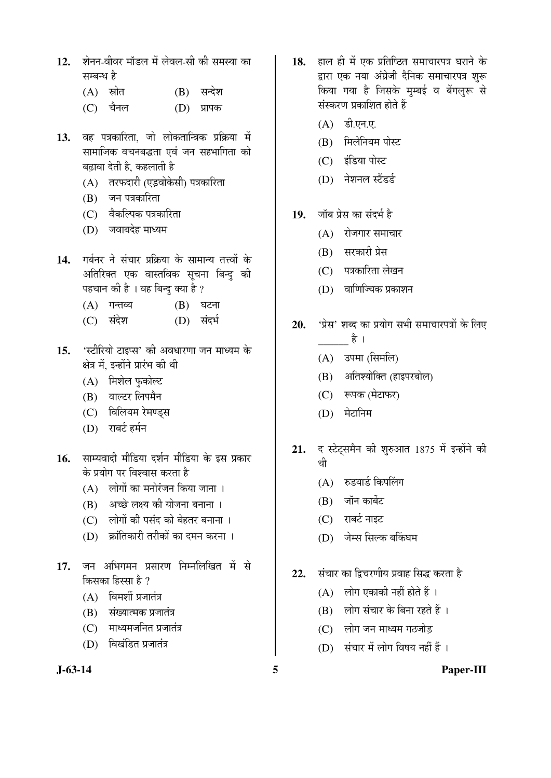- 12. शेनन-वीवर मॉडल में लेवल-सी की समस्या का सम्बन्ध है
	- (A) स्रोत (B) सन्देश
	- $(C)$  चैनल  $(D)$  प्रापक
- 13. वह पत्रकारिता, जो लोकतान्त्रिक प्रक्रिया में सामाजिक वचनबद्धता एवं जन सहभागिता को बढावा देती है. कहलाती है
	- (A) तरफदारी (एडवोकेसी) पत्रकारिता
	- $(B)$  जन पत्रकारिता
	- (C) वैकल्पिक पत्रकारिता
	- $(D)$  जवाबदेह माध्यम
- 14. गर्बनर ने संचार प्रक्रिया के सामान्य तत्त्वों के अतिरिक्त एक वास्तविक सूचना बिन्दु की पहचान की है । वह बिन्दु क्या है ?
	- $(A)$  गन्तव्य  $(B)$  घटना
	- (C) संदेश (D) संदर्भ
- 15. <u>'</u>स्टीरियो टाइप्स' की अवधारणा जन माध्यम के क्षेत्र में. इन्होंने प्रारंभ की थी
	- (A) मिशेल फुकोल्ट
	- (B) वाल्टर लिपमैन
	- (C) विलियम रेमण्डस
	- (D) राबर्ट हर्मन
- 16. साम्यवादी मीडिया दर्शन मीडिया के इस प्रकार <u>के प्रयोग पर विश्वास करता है</u>
	- $(A)$  लोगों का मनोरंजन किया जाना।
	- $(B)$  अच्छे लक्ष्य की योजना बनाना ।
	- (C) लोगों की पसंद को बेहतर बनाना ।
	- $(D)$  क्रांतिकारी तरीकों का दमन करना ।
- 17. जन अभिगमन प्रसारण निम्नलिखित में से किसका हिस्सा है ?
	- $(A)$  विमर्शी प्रजातंत्र
	- (B) संख्यात्मक प्रजातंत्र
	- (C) माध्यमजनित प्रजातंत्र
	- $(D)$  विखंडित प्रजातंत्र
- 
- 18. Elg El में एक प्रतिष्ठित समाचारपत्र घराने के द्वारा एक नया अंग्रेजी दैनिक समाचारपत्र शरू किया गया है जिसके मुम्बई व बेंगलुरू से संस्करण प्रकाशित होते हैं
	- (A) डी.एन.ए.
	- (B) मिलेनियम पोस्ट
	- (C) इंडिया पोस्ट
	- (D) नेशनल स्टैंडर्ड
- 19. जॉब प्रेस का संदर्भ है
	- $(A)$  रोजगार समाचार
	- (B) सरकारी प्रेस
	- $(C)$  पत्रकारिता लेखन
	- $(D)$  वाणिज्यिक प्रकाशन
- 20. 'प्रेस' शब्द का प्रयोग सभी समाचारपत्रों के लिए  $\frac{1}{3}$ 
	- (A) उपमा (सिमलि)
	- (B) अतिश्योक्ति (हाइपरबोल)
	- (C) रूपक (मेटाफर)
	- (D) मेटानिम
- 21. द स्टेट्समैन की शुरुआत 1875 में इन्होंने की थी
	- (A) रुडयार्ड किपलिंग
	- (B) जॉन कार्बेट
	- $(C)$  राबर्ट नाइट
	- (D) जेम्स सिल्क बकिंघम
- 22. Äंचार का दिचरणीय प्रवाह सिद्ध करता है
	- $(A)$  लोग एकाकी नहीं होते हैं ।
	- $(B)$  लोग संचार के बिना रहते हैं ।
	- (C) लोग जन माध्यम गठजोड
	- (D) संचार में लोग विषय नहीं हैं ।
- 

# **J-63-14 5 Paper-III**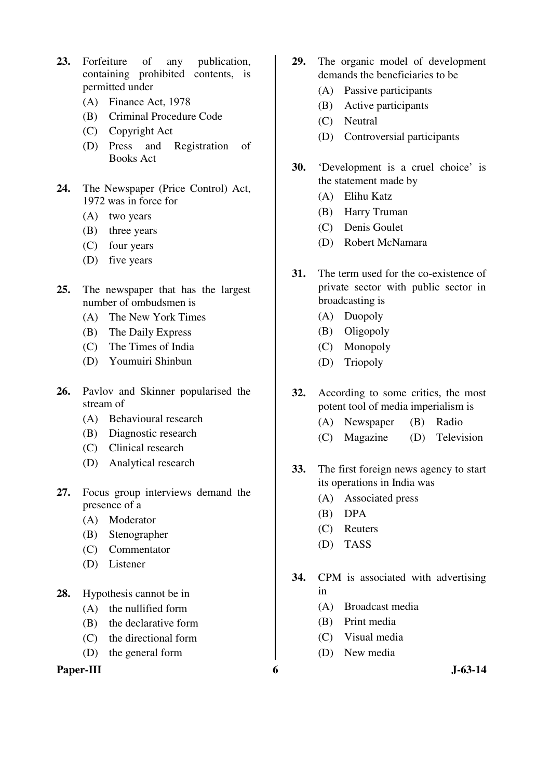- **23.** Forfeiture of any publication, containing prohibited contents, is permitted under
	- (A) Finance Act, 1978
	- (B) Criminal Procedure Code
	- (C) Copyright Act
	- (D) Press and Registration of Books Act
- **24.** The Newspaper (Price Control) Act, 1972 was in force for
	- (A) two years
	- (B) three years
	- (C) four years
	- (D) five years
- **25.** The newspaper that has the largest number of ombudsmen is
	- (A) The New York Times
	- (B) The Daily Express
	- (C) The Times of India
	- (D) Youmuiri Shinbun
- **26.** Pavlov and Skinner popularised the stream of
	- (A) Behavioural research
	- (B) Diagnostic research
	- (C) Clinical research
	- (D) Analytical research
- **27.** Focus group interviews demand the presence of a
	- (A) Moderator
	- (B) Stenographer
	- (C) Commentator
	- (D) Listener
- **28.** Hypothesis cannot be in
	- (A) the nullified form
	- (B) the declarative form
	- (C) the directional form
	- (D) the general form

Paper-III 6 J-63-14

- **29.** The organic model of development demands the beneficiaries to be
	- (A) Passive participants
	- (B) Active participants
	- (C) Neutral
	- (D) Controversial participants
- **30.** 'Development is a cruel choice' is the statement made by
	- (A) Elihu Katz
	- (B) Harry Truman
	- (C) Denis Goulet
	- (D) Robert McNamara
- **31.** The term used for the co-existence of private sector with public sector in broadcasting is
	- (A) Duopoly
	- (B) Oligopoly
	- (C) Monopoly
	- (D) Triopoly
- **32.** According to some critics, the most potent tool of media imperialism is
	- (A) Newspaper (B) Radio
	- (C) Magazine (D) Television
- **33.** The first foreign news agency to start its operations in India was
	- (A) Associated press
	- (B) DPA
	- (C) Reuters
	- (D) TASS
- **34.** CPM is associated with advertising in
	- (A) Broadcast media
	- (B) Print media
	- (C) Visual media
	- (D) New media
-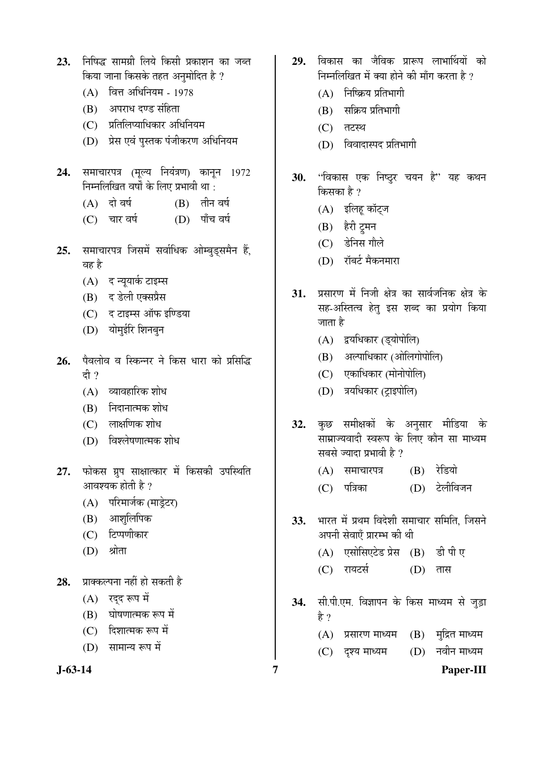- **23.** ×®Ö×ÂÖ¨ü ÃÖÖ´ÖÝÖÏß ×»ÖµÖê ×ÛúÃÖß ¯ÖÏÛúÖ¿Ö®Ö ÛúÖ •Ö²ŸÖ किया जाना किसके तहत अनमोदित है ?
	- (A) वित्त अधिनियम 1978
	- $(B)$  अपराध दण्ड संहिता
	- (C) प्रतिलिप्याधिकार अधिनियम
	- (D) प्रेस एवं पुस्तक पंजीकरण अधिनियम
- 24. समाचारपत्र (मुल्य नियंत्रण) कानुन 1972 निम्नलिखित वर्षों के लिए प्रभावी था :
	- $(A)$  दो वर्ष  $(B)$  तीन वर्ष
	- (C) चार वर्ष (D) पाँच वर्ष
- 25. समाचारपत्र जिसमें सर्वाधिक ओम्बुडसमैन हैं. वह है
	- (A) द न्यूयार्क टाइम्स
	- (B) द डेली एक्सप्रैस
	- $(C)$   $\leq$   $\leq$   $\leq$   $\leq$   $\leq$   $\leq$   $\leq$   $\leq$   $\leq$   $\leq$   $\leq$   $\leq$   $\leq$   $\leq$   $\leq$   $\leq$   $\leq$   $\leq$   $\leq$   $\leq$   $\leq$   $\leq$   $\leq$   $\leq$   $\leq$   $\leq$   $\leq$   $\leq$   $\leq$   $\leq$   $\leq$   $\leq$   $\leq$   $\leq$   $\leq$   $\leq$
	- (D) योमुईरि शिनबून
- 26. पैवलोव व स्किन्नर ने किस धारा को प्रसिद्धि दी ?
	- $(A)$  व्यावहारिक शोध
	- $(B)$  निदानात्मक शोध
	- $(C)$  लाक्षणिक शोध
	- $(D)$  विश्लेषणात्मक शोध
- 27. फोकस ग्रप साक्षात्कार में किसकी उपस्थिति आवश्यक होती है ?
	- (A) परिमार्जक (माडेटर)
	- (B) आशुलिपिक
	- (C) टिप्पणीकार
	- $(D)$  श्रोता
- **28.** प्राक्कल्पना नहीं हो सकती है
	- $(A)$  रद्द रूप में
	- (B) घोषणात्मक रूप में
	- (C) दिशात्मक रूप में
	- $(D)$  सामान्य रूप में
- 
- 29. विकास का जैविक प्रारूप लाभार्थियों को निम्नलिखित में क्या होने की माँग करता है ?
	- $(A)$  निष्क्रिय प्रतिभागी
	- $(B)$  सक्रिय प्रतिभागी
	- $(C)$  तटस्थ
	- $(D)$  विवादास्पद प्रतिभागी
- 30. "विकास एक निष्ट्र चयन है" यह कथन किसका है $2$ 
	- (A) इलिहू कॉट्ज
	- (B) हैरी ट्रूमन
	- $(C)$  डेनिस गौले
	- (D) गॅबर्ट मैकनमारा
- 31. प्रसारण में निजी क्षेत्र का सार्वजनिक क्षेत्र के सह-अस्तित्व हेत् इस शब्द का प्रयोग किया जाता है
	- (A) द्वयधिकार (डयोपोलि)
	- (B) अल्पाधिकार (ओलिगोपोलि)
	- (C) एकाधिकार (मोनोपोलि)
	- (D) त्रयधिकार (टाइपोलि)
- 32. कुछ समीक्षकों के अनुसार मीडिया के साम्राज्यवादी स्वरूप के लिए कौन सा माध्यम सबसे ज्यादा प्रभावी है ?
	- (A) समाचारपत्र (B) रेडियो
	- (C) पत्रिका (D) टेलीविजन
- 33. भारत में प्रथम विदेशी समाचार समिति, जिसने अपनी सेवाएँ प्रारम्भ की थी
	- (A) एसोसिएटेड प्रेस (B) डी पी ए
	- (C) रायटर्स (D) तास
- 34. सी.पी.एम. विज्ञापन के किस माध्यम से जुड़ा है ?
	- $(A)$  प्रसारण माध्यम  $(B)$  मुद्रित माध्यम
	- (C) दृश्य माध्यम (D) नवीन माध्यम
- 

**J-63-14 7 Paper-III**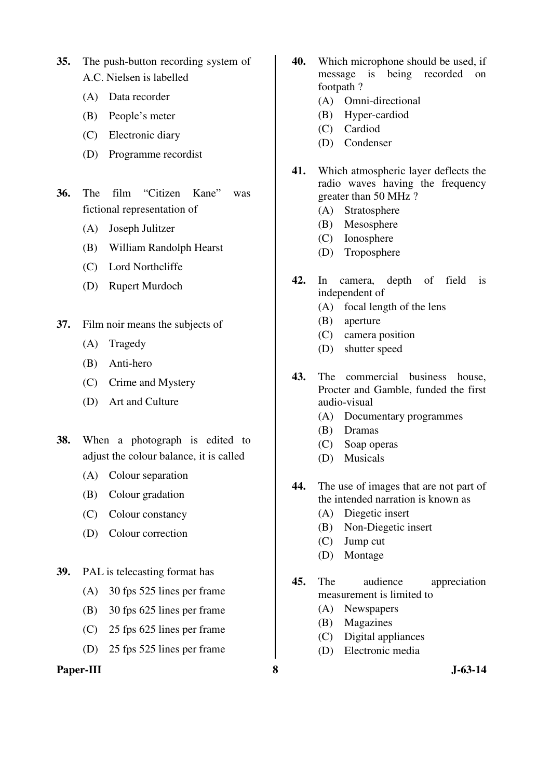- **35.** The push-button recording system of A.C. Nielsen is labelled
	- (A) Data recorder
	- (B) People's meter
	- (C) Electronic diary
	- (D) Programme recordist
- **36.** The film "Citizen Kane" was fictional representation of
	- (A) Joseph Julitzer
	- (B) William Randolph Hearst
	- (C) Lord Northcliffe
	- (D) Rupert Murdoch
- **37.** Film noir means the subjects of
	- (A) Tragedy
	- (B) Anti-hero
	- (C) Crime and Mystery
	- (D) Art and Culture
- **38.** When a photograph is edited to adjust the colour balance, it is called
	- (A) Colour separation
	- (B) Colour gradation
	- (C) Colour constancy
	- (D) Colour correction
- **39.** PAL is telecasting format has
	- (A) 30 fps 525 lines per frame
	- (B) 30 fps 625 lines per frame
	- (C) 25 fps 625 lines per frame
	- (D) 25 fps 525 lines per frame

#### **Paper-III 8 J-63-14**

- **40.** Which microphone should be used, if message is being recorded on footpath ?
	- (A) Omni-directional
	- (B) Hyper-cardiod
	- (C) Cardiod
	- (D) Condenser
- **41.** Which atmospheric layer deflects the radio waves having the frequency greater than 50 MHz ?
	- (A) Stratosphere
	- (B) Mesosphere
	- (C) Ionosphere
	- (D) Troposphere
- **42.** In camera, depth of field is independent of
	- (A) focal length of the lens
	- (B) aperture
	- (C) camera position
	- (D) shutter speed
- **43.** The commercial business house, Procter and Gamble, funded the first audio-visual
	- (A) Documentary programmes
	- (B) Dramas
	- (C) Soap operas
	- (D) Musicals
- **44.** The use of images that are not part of the intended narration is known as
	- (A) Diegetic insert
	- (B) Non-Diegetic insert
	- (C) Jump cut
	- (D) Montage
- **45.** The audience appreciation measurement is limited to
	- (A) Newspapers
	- (B) Magazines
	- (C) Digital appliances
	- (D) Electronic media
-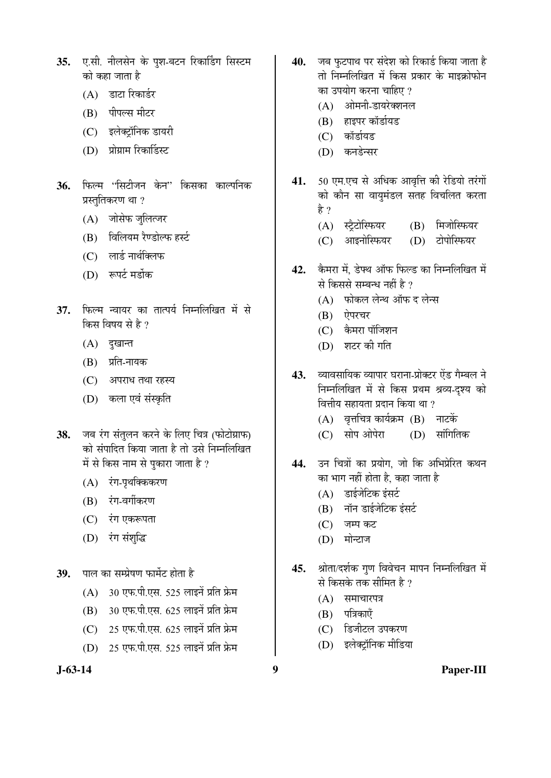- 35. **ए.सी. नीलसेन के पुश-बटन रिका**डिंग सिस्टम को कहा जाता है
	- $(A)$  डाटा रिकार्डर
	- (B) पीपल्स मीटर
	- (C) इलेक्ट्रॉनिक डायरी
	- (D) प्रोग्राम रिकार्डिस्ट
- 36. फिल्म "सिटीजन केन" किसका काल्पनिक प्रस्तुतिकरण था ?
	- (A) जोसेफ जलित्जर
	- (B) विलियम रैण्डोल्फ हर्स्ट
	- $(C)$  लार्ड नार्थक्लिफ
	- (D) रूपर्ट मर्डोक
- 37. फिल्म न्वायर का तात्पर्य निम्नलिखित में से किस विषय से है $2$ 
	- $(A)$  दुखान्त
	- (B) प्रति-नायक
	- (C) अपराध तथा रहस्य
	- (D) कला एवं संस्कृति
- 38. जब रंग संतुलन करने के लिए चित्र (फोटोग्राफ) को संपादित किया जाता है तो उसे निम्नलिखित में से किस नाम से पुकारा जाता है ?
	- $(A)$  रंग-पृथक्किकरण
	- (B) रंग-वर्गीकरण
	- (C) रंग एकरूपता
	- (D) रंग संशुद्धि
- 39. पाल का सम्प्रेषण फार्मेट होता है
	- $(A)$  30 एफ.पी.एस. 525 लाइनें प्रति फ्रेम
	- $(B)$  30 एफ.पी.एस. 625 लाइनें प्रति फ्रेम
	- $(C)$  25 एफ.पी.एस. 625 लाइनें प्रति फ्रेम
	- (D) 25 एफ.पी.एस. 525 लाइनें प्रति फ्रेम
- 
- 40. जब फुटपाथ पर संदेश को रिकार्ड किया जाता है तो निम्नलिखित में किस प्रकार के माइक्रोफोन का उपयोग करना चाहिए ?
	- (A) आेमनी-डायरेक्शनल
	- (B) हाइपर कॉर्डायड
	- (C) कॉर्डायड
	- (D) कनडेन्सर
- 41. 50 एम.एच से अधिक आवृत्ति की रेडियो तरंगों को कौन सा वायुमंडल सतह विचलित करता हे ?
	- (A) स्ट्रैटोस्फियर (B) मिजोस्फियर
	- (C) आइनोस्फियर (D) टोपोस्फियर
- 42. कैमरा में, डेफ्थ ऑफ फिल्ड का निम्नलिखित में से किससे सम्बन्ध नहीं है ?
	- (A) फोकल लेन्थ ऑफ द लेन्स
	- (B) ऐपरचर
	- (C) कैमरा पॉजिशन
	- $(D)$  शटर की गति
- 43. व्यावसायिक व्यापार घराना-प्रोक्टर ऐंड गैम्बल ने निम्नलिखित में से किस प्रथम श्रव्य-दृश्य को वित्तीय सहायता प्रदान किया था ?
	- $(A)$  वृत्तचित्र कार्यक्रम  $(B)$  नाटकें
	- (C) सोप ओपेरा (D) सांगितिक
- 44. उन चित्रों का प्रयोग, जो कि अभिप्रेरित कथन का भाग नहीं होता है, कहा जाता है
	- $(A)$  डाईजेटिक इंसर्ट
	- $(B)$  नॉन डाईजेटिक इंसर्ट
	- $(C)$  जम्प कट
	- (D) मोन्टाज
- 45. श्रोता/दर्शक गुण विवेचन मापन निम्नलिखित में से किसके तक सीमित है ?
	- $(A)$  समाचारपत्र
	- $(B)$  पत्रिकाएँ
	- (C) डिजीटल उपकरण
	- (D) इलेक्टॉनिक मीडिया
- 

**J-63-14 9 Paper-III**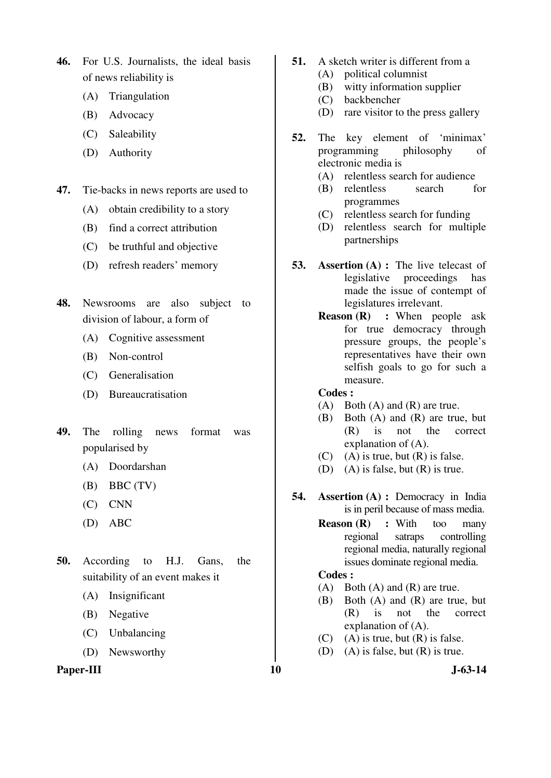**46.** For U.S. Journalists, the ideal basis of news reliability is

- (A) Triangulation
- (B) Advocacy
- (C) Saleability
- (D) Authority
- **47.** Tie-backs in news reports are used to
	- (A) obtain credibility to a story
	- (B) find a correct attribution
	- (C) be truthful and objective
	- (D) refresh readers' memory
- **48.** Newsrooms are also subject to division of labour, a form of
	- (A) Cognitive assessment
	- (B) Non-control
	- (C) Generalisation
	- (D) Bureaucratisation
- **49.** The rolling news format was popularised by
	- (A) Doordarshan
	- $(B)$  BBC  $(TV)$
	- (C) CNN
	- (D) ABC
- **50.** According to H.J. Gans, the suitability of an event makes it
	- (A) Insignificant
	- (B) Negative
	- (C) Unbalancing
	- (D) Newsworthy

#### Paper-III **10** J-63-14

- **51.** A sketch writer is different from a
	- (A) political columnist
	- (B) witty information supplier
	- (C) backbencher
	- (D) rare visitor to the press gallery
- **52.** The key element of 'minimax' programming philosophy of electronic media is
	- (A) relentless search for audience
	- (B) relentless search for programmes
	- (C) relentless search for funding
	- (D) relentless search for multiple partnerships
- **53. Assertion (A) :** The live telecast of legislative proceedings has made the issue of contempt of legislatures irrelevant.
	- **Reason (R) : When people ask** for true democracy through pressure groups, the people's representatives have their own selfish goals to go for such a measure.

#### **Codes :**

- (A) Both (A) and (R) are true.
- (B) Both (A) and (R) are true, but (R) is not the correct explanation of (A).
- $(C)$  (A) is true, but  $(R)$  is false.
- (D) (A) is false, but (R) is true.
- **54. Assertion (A) :** Democracy in India is in peril because of mass media.
	- **Reason (R) :** With too many regional satraps controlling regional media, naturally regional issues dominate regional media.

#### **Codes :**

- (A) Both (A) and (R) are true.
- (B) Both (A) and (R) are true, but (R) is not the correct explanation of (A).
- $(C)$  (A) is true, but  $(R)$  is false.
- (D) (A) is false, but (R) is true.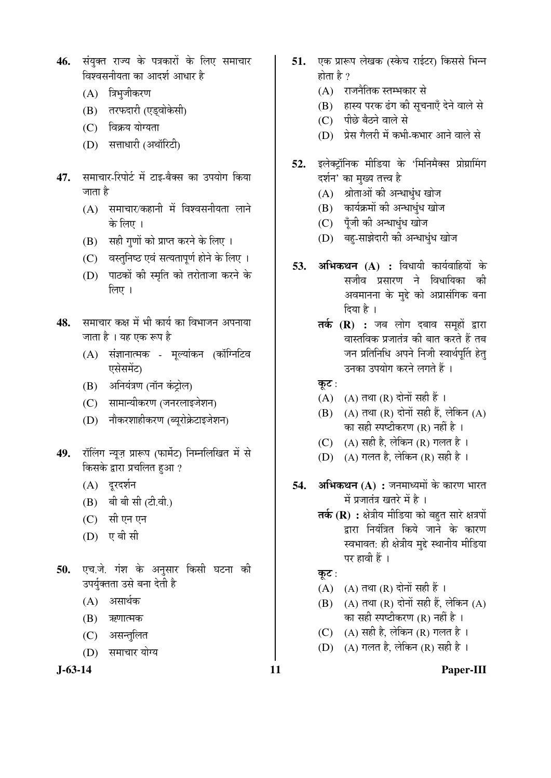- **46.** संयक्त राज्य के पत्रकारों के लिए समाचार विश्वसनीयता का आदर्श आधार है
	- (A) त्रिभुजीकरण
	- (B) तरफदारी (एड्वोकेसी)
	- (C) विक्रय योग्यता
	- (D) सत्ताधारी (अथॉरिटी)
- 47. समाचार-रिपोर्ट में टाइ-बैक्स का उपयोग किया जाता है
	- $(A)$  समाचार/कहानी में विश्वसनीयता लाने के लिए ।
	- $(B)$  सही गणों को प्राप्त करने के लिए ।
	- (C) वस्तुनिष्ठ एवं सत्यतापुर्ण होने के लिए ।
	- (D) पाठकों की स्मृति को तरोताजा करने के  $\hat{z}$ ा
- 48. समाचार कक्ष में भी कार्य का विभाजन अपनाया जाता है । यह एक रूप है
	- $(A)$  संज्ञानात्मक मूल्यांकन (कॉग्निटिव एसेसमेंट)
	- (B) अनियंत्रण (नॉन कंट्रोल)
	- (C) सामान्यीकरण (जनरलाइजेशन)
	- (D) नौकरशाहीकरण (ब्यरोक्रेटाइजेशन)
- 49. रॉलिंग न्यूज़ प्रारूप (फार्मेट) निम्नलिखित में से किसके द्वारा प्रचलित हुआ ?
	- (A) दूरदर्शन
	- (B) बी बी सी (टी.वी.)
	- (C) सी एन एन
	- (D) एबी सी
- 50. एच.जे. गंश के अनुसार किसी घटना की उपर्युक्तता उसे बना देती है
	- $(A)$  असार्थक
	- (B) ऋणात्मक
	- (C) असन्तुलित
	- (D) समाचार योग्य

**J-63-14 11 Paper-III**

- 51. **एक प्रारूप लेखक (स्केच राईटर) किससे** भिन्न होता है ?
	- (A) राजनैतिक स्तम्भकार से
	- (B) हास्य परक ढंग की सूचनाएँ देने वाले से
	- (C) पीछे बैठने वाले से
	- (D) प्रेस गैलरी में कभी-कभार आने वाले से
- 52. इलेक्ट्रॉनिक मीडिया के 'मिनिमैक्स प्रोग्रामिंग दर्शन' का मुख्य तत्त्व है
	- $(A)$  श्रोताओं की अन्धाधुंध खोज
	- (B) कार्यक्रमों की अन्धाधुंध खोज
	- (C) पूँजी की अन्धाधुंध खोज
	- (D) बह-साझेदारी की अन्धाधंध खोज
- **53. अभिकथन (A) :** विधायी कार्यवाहियों के सजीव प्रसारण ने विधायिका की अवमानना के मुद्दे को अप्रासंगिक बना दिया है $\perp$ 
	- **तर्क (R) :** जब लोग दबाव समूहों द्वारा वास्तविक प्रजातंत्र की बात करते हैं तब जन प्रतिनिधि अपने निजी स्वार्थपूर्ति हेत् उनका उपयोग करने लगते हैं ।
	- कूट:
	- $(A)$   $(A)$  तथा  $(R)$  दोनों सही हैं ।
	- $(B)$   $(A)$  तथा  $(R)$  दोनों सही हैं, लेकिन  $(A)$ का सही स्पष्टीकरण (R) नहीं है ।
	- (C) (A) सही है, लेकिन (R) गलत है।
	- (D) (A) गलत है, लेकिन (R) सही है ।
- **54. अभिकथन (A) :** जनमाध्यमों के कारण भारत में प्रजातंत्र खतरे में है ।
	- **तर्क (R) :** क्षेत्रीय मीडिया को बहुत सारे क्षत्रपों द्वारा नियंत्रित किये जाने के कारण स्वभावत: ही क्षेत्रीय मुद्दे स्थानीय मीडिया पर हावी हैं ।

कूट:

- $(A)$   $(A)$  तथा  $(R)$  दोनों सही हैं ।
- $(B)$   $(A)$  तथा  $(R)$  दोनों सही हैं, लेकिन  $(A)$ का सही स्पष्टीकरण (R) नहीं है ।
- (C)  $(A)$  सही है, लेकिन (R) गलत है।
- (D) (A) गलत है, लेकिन (R) सही है ।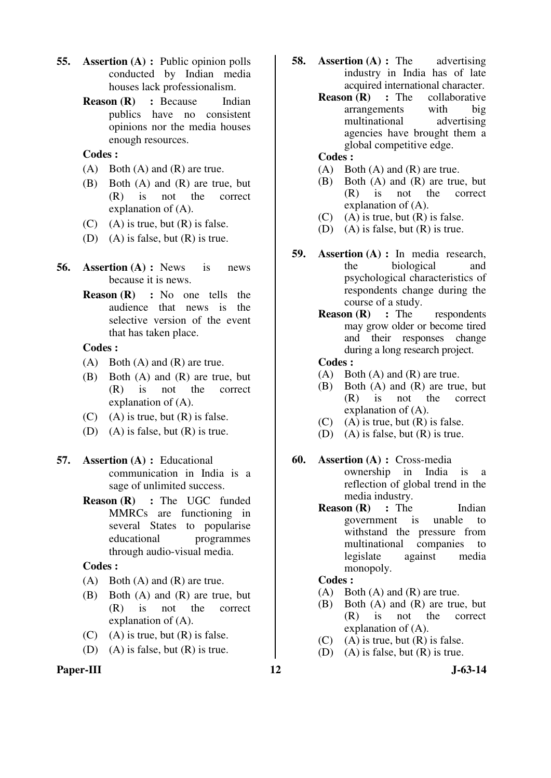- **55. Assertion (A) :** Public opinion polls conducted by Indian media houses lack professionalism.
	- **Reason (R) : Because Indian** publics have no consistent opinions nor the media houses enough resources.

#### **Codes :**

- (A) Both (A) and (R) are true.
- (B) Both (A) and (R) are true, but (R) is not the correct explanation of (A).
- $(C)$  (A) is true, but  $(R)$  is false.
- (D) (A) is false, but (R) is true.
- **56. Assertion (A) :** News is news because it is news.
	- **Reason (R) :** No one tells the audience that news is the selective version of the event that has taken place.

#### **Codes :**

- (A) Both (A) and (R) are true.
- (B) Both (A) and (R) are true, but (R) is not the correct explanation of (A).
- $(C)$  (A) is true, but  $(R)$  is false.
- (D) (A) is false, but (R) is true.

# **57. Assertion (A) :** Educational communication in India is a sage of unlimited success.

**Reason (R)** : The UGC funded MMRCs are functioning in several States to popularise educational programmes through audio-visual media.

# **Codes :**

- $(A)$  Both  $(A)$  and  $(R)$  are true.
- (B) Both (A) and (R) are true, but (R) is not the correct explanation of (A).
- $(C)$  (A) is true, but  $(R)$  is false.
- (D) (A) is false, but (R) is true.

# Paper-III **12** J-63-14

- **58. Assertion (A) :** The advertising industry in India has of late acquired international character.
	- **Reason (R)** : The collaborative arrangements with big<br>multinational advertising multinational agencies have brought them a global competitive edge.
	- **Codes :**
	- (A) Both (A) and (R) are true.
	- (B) Both (A) and (R) are true, but (R) is not the correct explanation of (A).
	- (C)  $(A)$  is true, but  $(R)$  is false.
	- (D) (A) is false, but  $(R)$  is true.
- **59. Assertion (A) :** In media research, the biological and psychological characteristics of respondents change during the course of a study.
	- **Reason (R)** : The respondents may grow older or become tired and their responses change during a long research project.

#### **Codes :**

- (A) Both (A) and (R) are true.
- (B) Both (A) and (R) are true, but (R) is not the correct explanation of (A).
- $(C)$  (A) is true, but  $(R)$  is false.
- (D) (A) is false, but  $(R)$  is true.
- **60. Assertion (A) :** Cross-media<br>ownership in India is ownership in India is a reflection of global trend in the media industry.
	- **Reason (R)** : The Indian government is unable to withstand the pressure from multinational companies to legislate against media monopoly.

#### **Codes :**

- (A) Both (A) and (R) are true.
- (B) Both (A) and (R) are true, but (R) is not the correct explanation of (A).
- $(C)$  (A) is true, but  $(R)$  is false.
- (D) (A) is false, but (R) is true.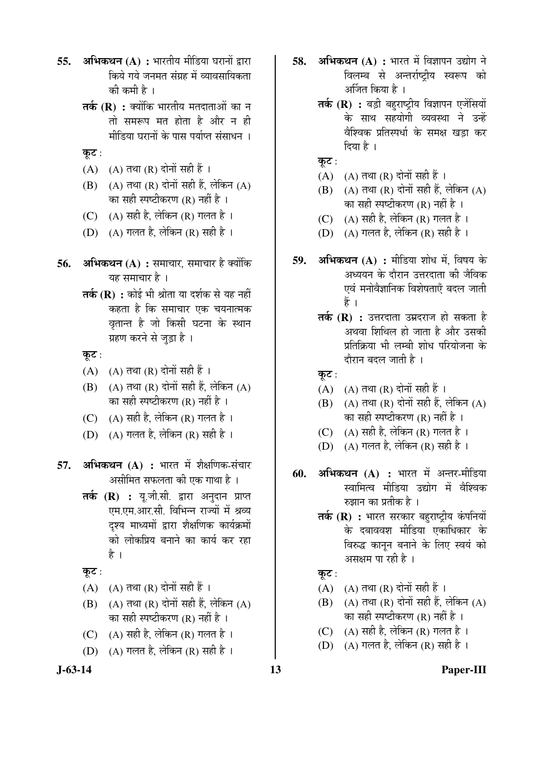- **55. अभिकथन (A) :** भारतीय मीडिया घरानों द्वारा किये गये जनमत संग्रह में व्यावसायिकता की कमी है ।
	- **तर्क (R) :** क्योंकि भारतीय मतदाताओं का न तो समरूप मत होता है और न ही मीडिया घरानों के पास पर्याप्त संसाधन**।**
	- कूट :
	- $(A)$   $(A)$  तथा  $(R)$  दोनों सही हैं।
	- $(B)$   $(A)$  तथा  $(R)$  दोनों सही हैं, लेकिन  $(A)$ का सही स्पष्टीकरण (R) नहीं है ।
	- (C)  $(A)$  सही है, लेकिन (R) गलत है।
	- (D) (A) गलत है, लेकिन (R) सही है ।
- **56. अभिकथन (A) :** समाचार, समाचार है क्योंकि यह समाचार है ।
	- **तर्क (R) :** कोई भी श्रोता या दर्शक से यह नहीं कहता है कि समाचार एक चयनात्मक वृतान्त है जो किसी घटना के स्थान ग्रहण करने से जड़ा है ।
	- कूट :
	- $(A)$   $(A)$  तथा  $(R)$  दोनों सही हैं ।
	- $(B)$   $(A)$  तथा  $(R)$  दोनों सही हैं, लेकिन  $(A)$ का सही स्पष्टीकरण (R) नहीं है ।
	- (C) (A) सही है, लेकिन (R) गलत है ।
	- (D)  $(A)$  गलत है, लेकिन (R) सही है ।
- **57. अभिकथन (A) :** भारत में शैक्षणिक-संचार असीमित सफलता की एक गाथा है ।
	- **तर्क (R) :** यू.जी.सी. द्वारा अनुदान प्राप्त एम.एम.आर.सी. विभिन्न राज्यों में श्रव्य दश्य माध्यमों द्वारा शैक्षणिक कार्यक्रमों <u>को लोकप्रिय बनाने का कार्य कर रहा</u> है ।
	- कूट:
	- $(A)$   $(A)$  तथा  $(R)$  दोनों सही हैं ।
	- $(B)$   $(A)$  तथा  $(R)$  दोनों सही हैं, लेकिन  $(A)$ का सही स्पष्टीकरण (R) नहीं है ।
	- (C)  $(A)$  सही है, लेकिन (R) गलत है।
	- (D)  $(A)$  गलत है, लेकिन (R) सही है ।
- 
- **58. अभिकथन (A) :** भारत में विज्ञापन उद्योग ने विलम्ब से अन्तर्राष्ट्रीय स्वरूप को अर्जित किया है ।
	- **तर्क (R) :** बड़ी बहराष्ट्रीय विज्ञापन एजेंसियों के साथ सहयोगी व्यवस्था ने उन्हें वैश्विक प्रतिस्पर्धा के समक्ष खड़ा कर दिया है ।
	- कूट $:$
	- $(A)$   $(A)$  तथा  $(R)$  दोनों सही हैं ।
	- $(B)$   $(A)$  तथा  $(R)$  दोनों सही हैं, लेकिन  $(A)$ का सही स्पष्टीकरण (R) नहीं है ।
	- (C)  $(A)$  सही है, लेकिन (R) गलत है।
	- (D) (A) गलत है, लेकिन (R) सही है।
- **59. अभिकथन (A) :** मीडिया शोध में. विषय के अध्ययन के दौरान उत्तरदाता की जैविक एवं मनोवैज्ञानिक विशेषताएँ बदल जाती Æïü …
	- **तर्क (R) :** उत्तरदाता उम्रदराज हो सकता है अथवा शिथिल हो जाता है और उसकी प्रतिक्रिया भी लम्बी शोध परियोजना के दौरान बदल जाती है $\perp$
	- कूट $:$
	- (A)  $(A)$   $(A)$  तथा  $(R)$  दोनों सही हैं ।
	- $(B)$   $(A)$  तथा  $(R)$  दोनों सही हैं, लेकिन  $(A)$ का सही स्पष्टीकरण (R) नहीं है ।
	- (C)  $(A)$  सही है, लेकिन (R) गलत है।
	- (D) (A) गलत है, लेकिन (R) सही है ।
- **60. अभिकथन (A) :** भारत में अन्तर-मीडिया स्वामित्व मीडिया उद्योग में वैश्विक रुझान का प्रतीक है ।
	- **तर्क (R) :** भारत सरकार बहराष्ट्रीय कंपनियों के दबाववश मीडिया एकाधिकार के विरुद्ध कानून बनाने के लिए स्वयं को असक्षम पा रही है ।
	- कूट $:$
	- $(A)$   $(A)$  तथा  $(R)$  दोनों सही हैं ।
	- $(B)$   $(A)$  तथा  $(R)$  दोनों सही हैं, लेकिन  $(A)$ का सही स्पष्टीकरण (R) नहीं है ।
	- (C)  $(A)$  सही है, लेकिन (R) गलत है।
	- (D) (A) गलत है, लेकिन (R) सही है ।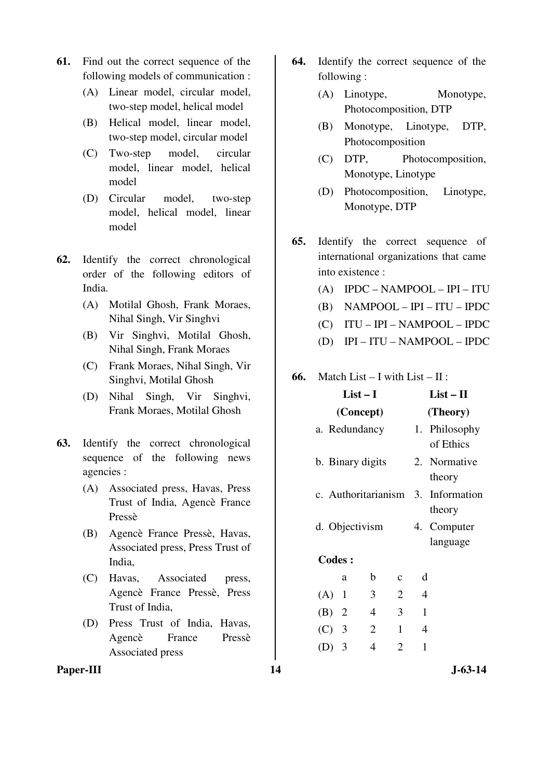- **61.** Find out the correct sequence of the following models of communication :
	- (A) Linear model, circular model, two-step model, helical model
	- (B) Helical model, linear model, two-step model, circular model
	- (C) Two-step model, circular model, linear model, helical model
	- (D) Circular model, two-step model, helical model, linear model
- **62.** Identify the correct chronological order of the following editors of India.
	- (A) Motilal Ghosh, Frank Moraes, Nihal Singh, Vir Singhvi
	- (B) Vir Singhvi, Motilal Ghosh, Nihal Singh, Frank Moraes
	- (C) Frank Moraes, Nihal Singh, Vir Singhvi, Motilal Ghosh
	- (D) Nihal Singh, Vir Singhvi, Frank Moraes, Motilal Ghosh
- **63.** Identify the correct chronological sequence of the following news agencies :
	- (A) Associated press, Havas, Press Trust of India, Agencè France Pressè
	- (B) Agencè France Pressè, Havas, Associated press, Press Trust of India,
	- (C) Havas, Associated press, Agencè France Pressè, Press Trust of India,
	- (D) Press Trust of India, Havas, Agencè France Pressè Associated press
- **64.** Identify the correct sequence of the following :
	- (A) Linotype, Monotype, Photocomposition, DTP
	- (B) Monotype, Linotype, DTP, Photocomposition
	- (C) DTP, Photocomposition, Monotype, Linotype
	- (D) Photocomposition, Linotype, Monotype, DTP
- **65.** Identify the correct sequence of international organizations that came into existence :
	- (A) IPDC NAMPOOL IPI ITU
	- (B) NAMPOOL IPI ITU IPDC
	- (C) ITU IPI NAMPOOL IPDC
	- (D) IPI ITU NAMPOOL IPDC

#### **66.** Match List – I with List – II :

|         | $List-I$            |                |                |                | $List - II$                |
|---------|---------------------|----------------|----------------|----------------|----------------------------|
|         | (Concept)           |                |                |                | (Theory)                   |
|         | a. Redundancy       |                |                |                | 1. Philosophy<br>of Ethics |
|         | b. Binary digits    |                |                |                | 2. Normative<br>theory     |
|         | c. Authoritarianism |                |                |                | 3. Information<br>theory   |
|         | d. Objectivism      |                |                |                | 4. Computer<br>language    |
|         | <b>Codes:</b>       |                |                |                |                            |
|         | a                   | b              | $\mathbf c$    | d              |                            |
| (A)     | 1                   | 3              | $\overline{2}$ | $\overline{4}$ |                            |
| (B) 2   |                     | 4              | 3              | $\mathbf{1}$   |                            |
| $(C)$ 3 |                     | $\overline{2}$ | $\mathbf{1}$   | $\overline{4}$ |                            |
| (D)     | 3                   | 4              | 2              | 1              |                            |
|         |                     |                |                |                |                            |

Paper-III **14** J-63-14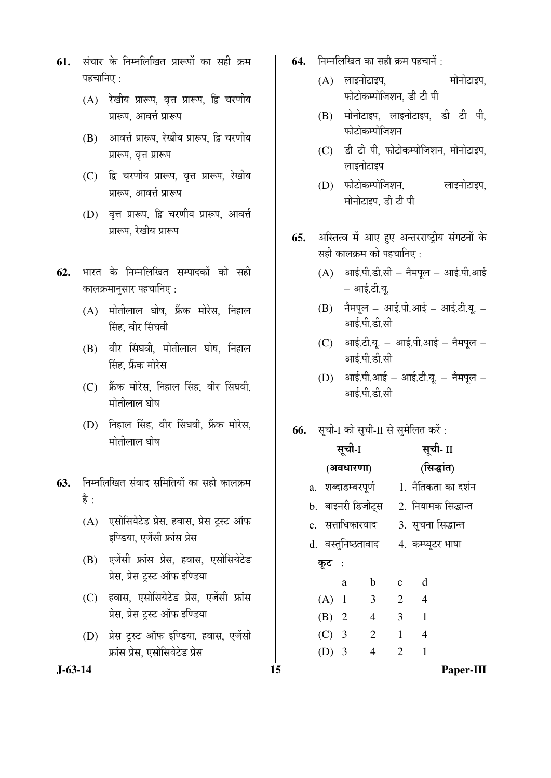- **61.** संचार के निम्नलिखित प्रारूपों का सही क्रम पहचानिए $\,\cdot\,$ 
	- $(A)$  रेखीय प्रारूप, वृत्त प्रारूप, द्वि चरणीय प्रारूप, आवर्त्त प्रारूप
	- (B) आवर्त्त प्रारूप, रेखीय प्रारूप, द्वि चरणीय प्रारूप, वृत्त प्रारूप
	- (C) द्वि चरणीय प्रारूप, वृत्त प्रारूप, रेखीय प्रारूप, आवर्त्त प्रारूप
	- (D) वृत्त प्रारूप, द्वि चरणीय प्रारूप, आवर्त्त प्रारूप, रेखीय प्रारूप
- **62.** भारत के निम्नलिखित सम्पादकों को सही कालक्रमानुसार पहचानिए :
	- (A) मोतीलाल घोष, फ्रैंक मोरेस, निहाल सिंह, वीर सिंघवी
	- (B) वीर सिंघवी, मोतीलाल घोष, निहाल सिंह, फ्रैंक मोरेस
	- (C) फ्रेंक मोरेस, निहाल सिंह, वीर सिंघवी, मोतीलाल घोष
	- (D) निहाल सिंह, वीर सिंघवी, फ्रैंक मोरेस, मोतीलाल घोष
- **63.** निम्नलिखित संवाद समितियों का सही कालक्रम है :
	- (A) एसोसियेटेड प्रेस, हवास, प्रेस ट्रस्ट ऑफ इण्डिया, एजेंसी फ्रांस प्रेस
	- (B) एजेंसी फ्रांस प्रेस, हवास, एसोसियेटेड प्रेस, प्रेस ट्स्ट ऑफ इण्डिया
	- (C) हवास, एसोसियेटेड प्रेस, एजेंसी फ्रांस प्रेस. प्रेस टस्ट ऑफ इण्डिया
	- (D) प्रेस टस्ट ऑफ इण्डिया, हवास, एजेंसी <u>फ्रांस प्रेस. एसोसियेटेड प्रेस</u>
- 
- **64.** निम्नलिखित का सही क्रम पहचानें :
	- $(A)$  लाइनोटाइप,  $\overline{C}$  मोनोटाइप, फोटोकम्पोजिशन, डी टी पी
	- $(B)$  मोनोटाइप, लाइनोटाइप, डी टी पी, फोटोकम्पोजिशन
	- $(C)$  डी टी पी, फोटोकम्पोजिशन, मोनोटाइप, लाइनोटाइप
	- (D) फोटोकम्पोजिशन, लाइनोटाइप, मोनोटाइप, डी टी पी
- **65.** अस्तित्व में आए हुए अन्तरराष्ट्रीय संगठनों के सही कालक्रम को पहचानिए :
	- $(A)$  आई.पी.डी.सी नैमपूल आई.पी.आई – आई.टी.यू.
	- $(B)$  नैमपूल आई.पी.आई आई.टी.यू. आई.पी.डी.सी
	- $(C)$  आई.टी.यू. आई.पी.आई नैमपुल आई.पी.डी.सी
	- $(D)$  आई.पी.आई आई.टी.यू. नैमपूल आई.पी.डी.सी
- **66.** सची-I को सची-II से समेलित करें:

|         |      | <b>PINTYIIVI</b> 919                      |    |                    | सूची-I    |                |              |                | सूची- II            |
|---------|------|-------------------------------------------|----|--------------------|-----------|----------------|--------------|----------------|---------------------|
|         |      |                                           |    |                    | (अवधारणा) |                |              |                | (सिद्धांत)          |
| 63.     |      | निम्नलिखित संवाद समितियों का सही कालक्रम  |    | a. शब्दाडम्बरपूर्ण |           |                |              |                | 1. नैतिकता का दर्शन |
|         | है : |                                           |    | b. बाइनरी डिजीट्स  |           |                |              |                | 2. नियामक सिद्धान्त |
|         | (A)  | एसोसियेटेड प्रेस, हवास, प्रेस ट्रस्ट ऑफ   |    | c. सत्ताधिकारवाद   |           |                |              |                | 3. सूचना सिद्धान्त  |
|         |      | इण्डिया, एजेंसी फ्रांस प्रेस              |    | d. वस्तुनिष्ठतावाद |           |                |              |                | 4. कम्प्यूटर भाषा   |
|         |      | (B) एजेंसी फ्रांस प्रेस, हवास, एसोसियेटेड |    | कूट :              |           |                |              |                |                     |
|         |      | प्रेस, प्रेस ट्रस्ट ऑफ इण्डिया            |    |                    | a         | b              | $\mathbf{C}$ | d              |                     |
|         | (C)  | हवास, एसोसियेटेड प्रेस, एजेंसी फ्रांस     |    | $(A)$ 1            |           | 3              | 2            | $\overline{4}$ |                     |
|         |      | प्रेस, प्रेस ट्रस्ट ऑफ इण्डिया            |    | $(B)$ 2            |           | $\overline{4}$ | 3            | 1              |                     |
|         | (D)  | प्रेस ट्रस्ट ऑफ इण्डिया, हवास, एजेंसी     |    | $(C)$ 3            |           | 2              | 1            | $\overline{4}$ |                     |
|         |      | फ्रांस प्रेस, एसोसियेटेड प्रेस            |    | $(D)$ 3            |           | 4              | 2            | 1              |                     |
| J-63-14 |      |                                           | 15 |                    |           |                |              |                | Paper-III           |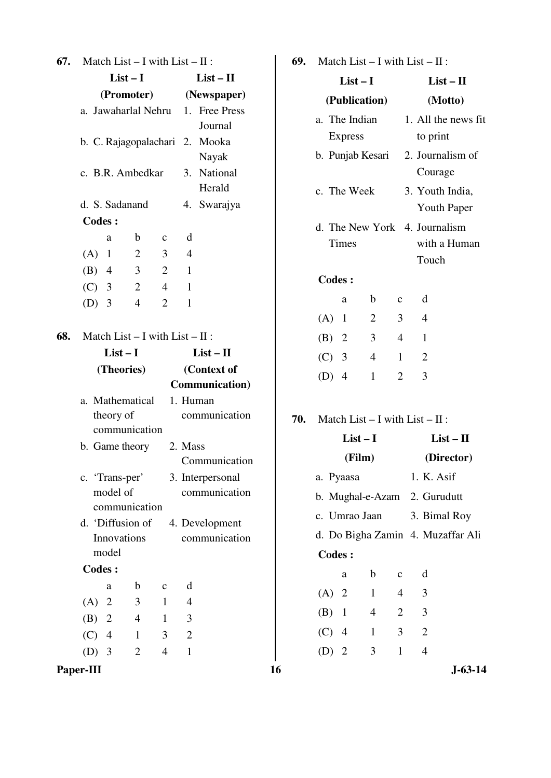| 67. | Match List $- I$ with List $- II$ :                                                                                                                                                                                                                                                                                               |                                                                                                                                       | 69. |                                                                               |                                 |                | Match List $- I$ with List $- II$ :                                                                                                                                    |
|-----|-----------------------------------------------------------------------------------------------------------------------------------------------------------------------------------------------------------------------------------------------------------------------------------------------------------------------------------|---------------------------------------------------------------------------------------------------------------------------------------|-----|-------------------------------------------------------------------------------|---------------------------------|----------------|------------------------------------------------------------------------------------------------------------------------------------------------------------------------|
|     | $List-I$                                                                                                                                                                                                                                                                                                                          | $List - II$                                                                                                                           |     |                                                                               | $List-I$                        |                | $List - II$                                                                                                                                                            |
|     | (Promoter)                                                                                                                                                                                                                                                                                                                        | (Newspaper)                                                                                                                           |     |                                                                               | (Publication)                   |                | (Motto)                                                                                                                                                                |
|     | a. Jawaharlal Nehru<br>b. C. Rajagopalachari 2. Mooka<br>c. B.R. Ambedkar<br>d. S. Sadanand<br><b>Codes:</b><br>b<br>a<br>$\mathbf c$<br>$\overline{2}$<br>3<br>(A)<br>$\mathbf{1}$<br>(B)<br>$\overline{4}$<br>3<br>$\overline{2}$<br>$\mathbf{2}$<br>3<br>(C)<br>$\overline{4}$<br>$\overline{2}$<br>(D)<br>3<br>$\overline{4}$ | 1. Free Press<br>Journal<br>Nayak<br>3. National<br>Herald<br>4. Swarajya<br>d<br>$\overline{4}$<br>$\mathbf{1}$<br>$\mathbf{1}$<br>1 |     | a. The Indian<br><b>Express</b><br>c. The Week<br>Times<br><b>Codes:</b><br>a | b. Punjab Kesari<br>$\mathbf b$ | $\mathbf{C}$   | 1. All the news fit<br>to print<br>2. Journalism of<br>Courage<br>3. Youth India,<br><b>Youth Paper</b><br>d. The New York 4. Journalism<br>with a Human<br>Touch<br>d |
|     |                                                                                                                                                                                                                                                                                                                                   |                                                                                                                                       |     | $(A)$ 1                                                                       | $\overline{2}$                  | 3              | 4                                                                                                                                                                      |
| 68. | Match List $- I$ with List $- II$ :<br>$List-I$                                                                                                                                                                                                                                                                                   | $List - II$                                                                                                                           |     | (B)<br>2                                                                      | 3                               | $\overline{4}$ | $\mathbf{1}$                                                                                                                                                           |
|     | (Theories)                                                                                                                                                                                                                                                                                                                        | (Context of                                                                                                                           |     | (C)<br>$\overline{3}$                                                         | $\overline{4}$                  | $\mathbf{1}$   | $\overline{2}$                                                                                                                                                         |
|     |                                                                                                                                                                                                                                                                                                                                   | Communication)                                                                                                                        |     | $(D)$ 4                                                                       | $\mathbf{1}$                    | $\overline{2}$ | 3                                                                                                                                                                      |
|     | a. Mathematical<br>theory of                                                                                                                                                                                                                                                                                                      | 1. Human<br>communication                                                                                                             | 70. |                                                                               |                                 |                | Match List $- I$ with List $- II$ :                                                                                                                                    |
|     | communication                                                                                                                                                                                                                                                                                                                     |                                                                                                                                       |     |                                                                               | $List-I$                        |                | $List - II$                                                                                                                                                            |
|     | b. Game theory                                                                                                                                                                                                                                                                                                                    | 2. Mass<br>Communication                                                                                                              |     |                                                                               | (Film)                          |                | (Director)                                                                                                                                                             |
|     | c. 'Trans-per'                                                                                                                                                                                                                                                                                                                    | 3. Interpersonal                                                                                                                      |     | a. Pyaasa                                                                     |                                 |                | 1. K. Asif                                                                                                                                                             |
|     | model of                                                                                                                                                                                                                                                                                                                          | communication                                                                                                                         |     |                                                                               | b. Mughal-e-Azam                |                | 2. Gurudutt                                                                                                                                                            |
|     | communication                                                                                                                                                                                                                                                                                                                     |                                                                                                                                       |     | c. Umrao Jaan                                                                 |                                 |                | 3. Bimal Roy                                                                                                                                                           |
|     | d. 'Diffusion of                                                                                                                                                                                                                                                                                                                  | 4. Development                                                                                                                        |     |                                                                               |                                 |                | d. Do Bigha Zamin 4. Muzaffar Ali                                                                                                                                      |
|     | Innovations<br>model                                                                                                                                                                                                                                                                                                              | communication                                                                                                                         |     | <b>Codes:</b>                                                                 |                                 |                |                                                                                                                                                                        |
|     | <b>Codes:</b>                                                                                                                                                                                                                                                                                                                     |                                                                                                                                       |     |                                                                               |                                 |                |                                                                                                                                                                        |
|     | b<br>$\mathbf C$<br>a                                                                                                                                                                                                                                                                                                             | d                                                                                                                                     |     | a                                                                             | $\mathbf b$                     | $\mathbf{C}$   | d                                                                                                                                                                      |
|     | 3<br>(A)<br>2<br>$\mathbf{1}$                                                                                                                                                                                                                                                                                                     | $\overline{4}$                                                                                                                        |     | $(A)$ 2                                                                       | $\mathbf{1}$                    | $\overline{4}$ | 3                                                                                                                                                                      |
|     | (B)<br>$\overline{4}$<br>2<br>$\mathbf{1}$                                                                                                                                                                                                                                                                                        | 3                                                                                                                                     |     | (B)<br>$\mathbf{1}$                                                           | $\overline{4}$                  | $\overline{2}$ | $\mathfrak{Z}$                                                                                                                                                         |
|     | $\overline{4}$<br>3<br>(C)<br>$\mathbf{1}$                                                                                                                                                                                                                                                                                        | $\overline{2}$                                                                                                                        |     | $(C)$ 4                                                                       | $\mathbf{1}$                    | 3              | $\mathbf{2}$                                                                                                                                                           |
|     | $\overline{2}$<br>$\overline{4}$<br>$(D)$ 3                                                                                                                                                                                                                                                                                       | $\mathbf{1}$                                                                                                                          |     | $(D)$ 2                                                                       | 3                               | $\mathbf{1}$   | $\overline{4}$                                                                                                                                                         |
|     | Paper-III                                                                                                                                                                                                                                                                                                                         |                                                                                                                                       | 16  |                                                                               |                                 |                | $J - 63 - 14$                                                                                                                                                          |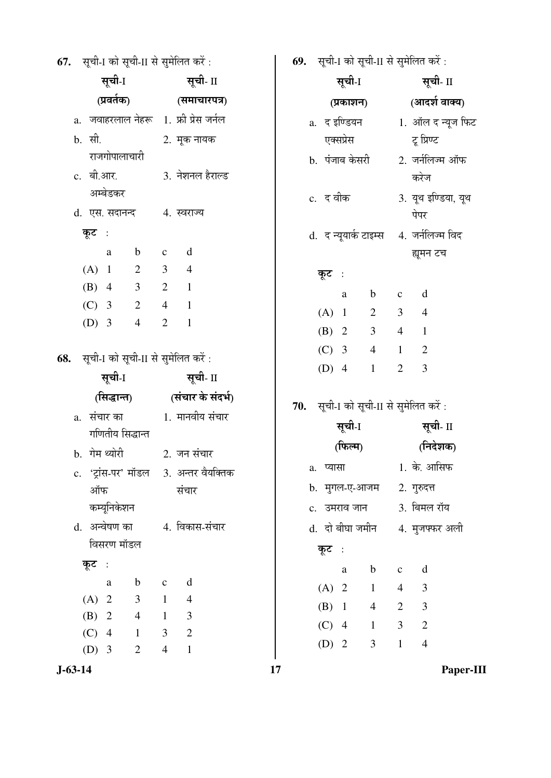**67.** सची-1 को सची-11 से समेलित करें :

| सूची <sub>-I</sub>                                                               | सूची- II                                              | सूची-I                                 | सूची- II                                   |
|----------------------------------------------------------------------------------|-------------------------------------------------------|----------------------------------------|--------------------------------------------|
|                                                                                  | (प्रवर्तक) (समाचारपत्र)                               |                                        | (प्रकाशन) (आदर्श वाक्य)                    |
| a. जवाहरलाल नेहरू 1. फ्री प्रेस जर्नल                                            |                                                       | a.  द इण्डियन                          | 1. ऑल द न्यूज फिट                          |
| b. सी. 2. मूक नायक                                                               |                                                       | एक्सप्रेस                              | ਟ੍ਰ ਸ਼ਿण्ट                                 |
| राजगोपालाचारी                                                                    |                                                       | b.  पंजाब केसरी                        | 2. जर्नलिज्म ऑफ                            |
| c. बी.आर. 3. नेशनल हैराल्ड                                                       |                                                       |                                        | करेज                                       |
| अम्बेडकर                                                                         |                                                       | c. द वीक                               | 3. यूथ इण्डिया, यूथ                        |
| d. एस. सदानन्द 4. स्वराज्य                                                       |                                                       |                                        | पेपर                                       |
| कूट :                                                                            |                                                       | d. द न्यूयार्क टाइम्स 4. जर्नलिज्म विद |                                            |
| $\mathbf b$<br>a                                                                 | d<br>$\mathbf{c}$                                     |                                        | ह्यूमन टच                                  |
| (A) 1<br>$\overline{2}$                                                          | $\mathfrak{Z}$<br>$\overline{4}$                      | कूट :                                  |                                            |
| $(B)$ 4<br>$\mathfrak{Z}$                                                        | $\overline{2}$<br>$\overline{1}$                      | $\mathbf b$<br>a                       | d<br>$\mathbf C$                           |
| $(C)$ 3<br>$\overline{2}$                                                        | $4 \quad 1$                                           | $(A)$ 1<br>$\overline{2}$              | 3 <sup>1</sup><br>$\overline{4}$           |
| $(D)$ 3<br>$\overline{4}$                                                        | $\overline{2}$<br>$\mathbf{1}$                        | 3 <sup>7</sup><br>$(B)$ 2              | $\overline{4}$<br>$\overline{\phantom{0}}$ |
|                                                                                  |                                                       | $(C)$ 3<br>$4\overline{ }$             | $\overline{2}$<br>$\mathbf{1}$             |
| 68. सूची-I को सूची-II से सुमेलित करें:                                           |                                                       | $(D)$ 4<br>$\mathbf{1}$                | $\overline{2}$<br>3                        |
|                                                                                  |                                                       |                                        |                                            |
| सूची <sub>-I</sub>                                                               | सूची- II                                              |                                        |                                            |
|                                                                                  | (सिद्धान्त) (संचार के संदर्भ)                         | 70. सूची-I को सूची-II से सुमेलित करें: |                                            |
|                                                                                  |                                                       |                                        |                                            |
| गणितीय सिद्धान्त                                                                 |                                                       | सूची <sub>-I</sub>                     | सूची- II                                   |
| b. गेम थ्योरी 2. जन संचार                                                        |                                                       | (फिल्म)                                | (निदेशक)                                   |
| c. 'ट्रांस-पर' मॉडल 3. अन्तर वैयक्तिक                                            |                                                       |                                        |                                            |
| ऑफ                                                                               | संचार                                                 | b. मुगल-ए-आजम                          | 2. गुरुदत्त                                |
| कम्यूनिकेशन                                                                      |                                                       | c. उमराव जान                           | 3. बिमल रॉय                                |
| d. अन्वेषण का                                                                    | 4. विकास-संचार                                        | d.  दो बीघा जमीन                       | 4. मुजफ्फर अली                             |
| विसरण मॉडल                                                                       |                                                       | कूट :                                  |                                            |
| कूट :                                                                            |                                                       | $\mathbf b$<br>a                       | d<br>$\mathbf{C}$                          |
| $\mathbf b$<br>a                                                                 | d<br>$\mathbf{C}$                                     | (A) 2<br>$\mathbf{1}$                  | 3<br>$\overline{4}$                        |
| $(A)$ 2<br>$\mathfrak{Z}$                                                        | $\mathbf{1}$<br>$\overline{4}$                        | $(B)$ 1<br>$\overline{4}$              | $\mathbf{2}$<br>3                          |
| (B)<br>2<br>$\overline{4}$                                                       | 3<br>$\mathbf{1}$                                     | $(C)$ 4<br>$\mathbf{1}$                | 3<br>$\overline{2}$                        |
| (C)<br>$\overline{4}$<br>$\mathbf{1}$<br>(D)<br>$\overline{3}$<br>$\overline{2}$ | $\overline{2}$<br>3<br>$\overline{4}$<br>$\mathbf{1}$ | $\mathfrak{Z}$<br>$(D)$ 2              | $\mathbf{1}$<br>$\overline{4}$             |

**69.** सूची-I को सूची-II से सुमेलित करें :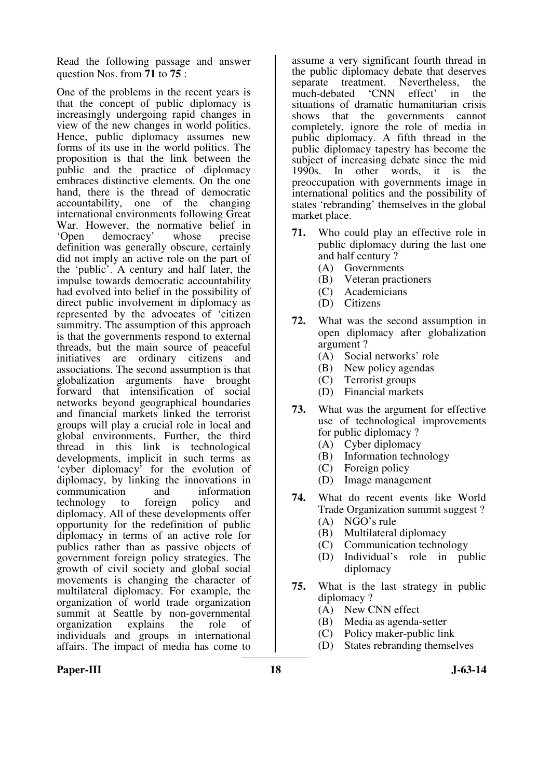Read the following passage and answer question Nos. from **71** to **75** :

One of the problems in the recent years is that the concept of public diplomacy is increasingly undergoing rapid changes in view of the new changes in world politics. Hence, public diplomacy assumes new forms of its use in the world politics. The proposition is that the link between the public and the practice of diplomacy embraces distinctive elements. On the one hand, there is the thread of democratic accountability, one of the changing international environments following Great War. However, the normative belief in<br>
'Open democracy' whose precise democracy' definition was generally obscure, certainly did not imply an active role on the part of the 'public'. A century and half later, the impulse towards democratic accountability had evolved into belief in the possibility of direct public involvement in diplomacy as represented by the advocates of 'citizen summitry. The assumption of this approach is that the governments respond to external threads, but the main source of peaceful<br>initiatives are ordinary citizens and initiatives are associations. The second assumption is that globalization arguments have brought forward that intensification of social networks beyond geographical boundaries and financial markets linked the terrorist groups will play a crucial role in local and global environments. Further, the third thread in this link is technological developments, implicit in such terms as 'cyber diplomacy' for the evolution of diplomacy, by linking the innovations in<br>communication and information communication and<br>technology to foreign technology to foreign policy and diplomacy. All of these developments offer opportunity for the redefinition of public diplomacy in terms of an active role for publics rather than as passive objects of government foreign policy strategies. The growth of civil society and global social movements is changing the character of multilateral diplomacy. For example, the organization of world trade organization summit at Seattle by non-governmental organization explains the role of individuals and groups in international affairs. The impact of media has come to

assume a very significant fourth thread in the public diplomacy debate that deserves separate treatment. Nevertheless, the much-debated 'CNN effect' in the situations of dramatic humanitarian crisis shows that the governments cannot completely, ignore the role of media in public diplomacy. A fifth thread in the public diplomacy tapestry has become the subject of increasing debate since the mid<br>1990s. In other words, it is the other words, it is the preoccupation with governments image in international politics and the possibility of states 'rebranding' themselves in the global market place.

- **71.** Who could play an effective role in public diplomacy during the last one and half century ?
	- (A) Governments
	- (B) Veteran practioners
	- (C) Academicians
	- (D) Citizens
- **72.** What was the second assumption in open diplomacy after globalization argument ?
	- (A) Social networks' role
	- (B) New policy agendas
	- (C) Terrorist groups
	- (D) Financial markets
- **73.** What was the argument for effective use of technological improvements for public diplomacy ?
	- (A) Cyber diplomacy
	- (B) Information technology
	- (C) Foreign policy<br>(D) Image manage
	- Image management
- **74.** What do recent events like World Trade Organization summit suggest ?
	- (A) NGO's rule
	- (B) Multilateral diplomacy
	- (C) Communication technology
	- (D) Individual's role in public diplomacy
- **75.** What is the last strategy in public diplomacy ?
	- (A) New CNN effect
	- (B) Media as agenda-setter
	- (C) Policy maker-public link
	- (D) States rebranding themselves

# Paper-III **18** J-63-14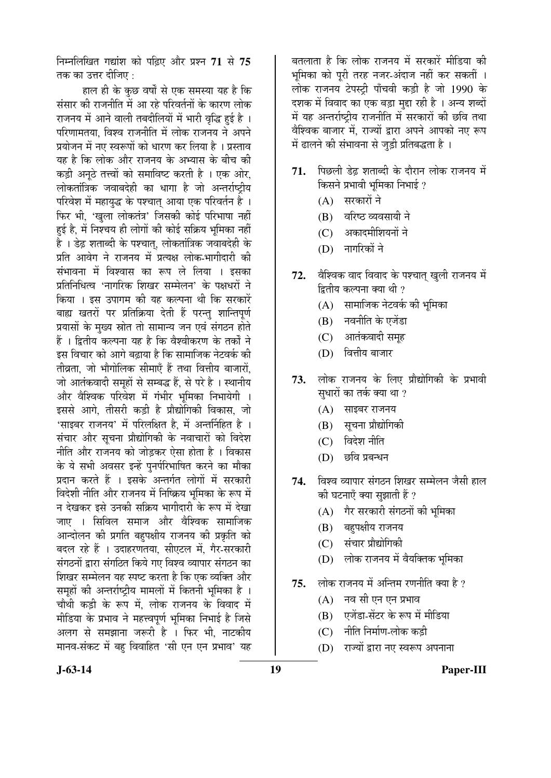×®Ö´®Ö×»Ö×ÜÖŸÖ ÝÖªÖÓ¿Ö ÛúÖê ¯ÖלÌü‹ †Öî¸ü ¯ÖÏ¿®Ö **71** ÃÖê **75** तक का उत्तर दीजिए  $\cdot$ 

हाल ही के कुछ वर्षों से एक समस्या यह है कि संसार की राजनीति में आ रहे परिवर्तनों के कारण लोक राजनय में आने वाली तबदीलियों में भारी वृद्धि हुई है । परिणामतया, विश्व राजनीति में लोक राजनय ने अपने प्रयोजन में नए स्वरूपों को धारण कर लिया है । प्रस्ताव यह है कि लोक और राजनय के अभ्यास के बीच की कड़ी अनुठे तत्त्वों को समाविष्ट करती है । एक ओर, लोकतांत्रिक जवाबदेही का धागा है जो अन्तर्राष्ट्रीय परिवेश में महायुद्ध के पश्चात् आया एक परिवर्तन है । फिर भी, 'खुला लोकतंत्र' जिसकी कोई परिभाषा नहीं हई है, में निश्चय ही लोगों की कोई सक्रिय भूमिका नहीं है । डेढ़ शताब्दी के पश्चात्, लोकतांत्रिक जवाबदेही के प्रति आवेग ने राजनय में प्रत्यक्ष लोक-भागीदारी की संभावना में विश्वास का रूप ले लिया । इसका प्रतिनिधित्व 'नागरिक शिखर सम्मेलन' के पक्षधरों ने किया । इस उपागम की यह कल्पना थी कि सरकारें बाह्य खतरों पर प्रतिक्रिया देती हैं परन्तु शान्तिपूर्ण प्रयासों के मुख्य स्रोत तो सामान्य जन एवं संगठन होते हैं । द्वितीय कल्पना यह है कि वैश्वीकरण के तर्कों ने इस विचार को आगे बढाया है कि सामाजिक नेटवर्क की तीव्रता, जो भौगोलिक सीमाएँ हैं तथा वित्तीय बाजारों, जो आतंकवादी समहों से सम्बद्ध हैं. से परे है**। स्थानी**य और वैश्विक परिवेश में गंभीर भूमिका निभायेगी । इससे आगे, तीसरी कड़ी है प्रौद्योगिकी विकास. जो 'साइबर राजनय' में परिलक्षित है. में अन्तर्निहित है<sup>.</sup>। संचार और सूचना प्रौद्योगिकी के नवाचारों को विदेश नीति और राजनय को जोड़कर ऐसा होता है । विकास के ये सभी अवसर इन्हें पुनर्परिभाषित करने का मौका प्रदान करते हैं । इसके अन्तर्गत लोगों में सरकारी <u>विदेशी नीति और राजनय में निष्क्रिय भू</u>मिका के रूप में न देखकर इसे उनकी सक्रिय भागीदारी के रूप में देखा •जाए । सिविल समाज और वैश्विक सामाजिक आन्दोलन की प्रगति बहुपक्षीय राजनय की प्रकृति को बदल रहे हैं । उदाहरणतया, सीएटल में, गैर-सरकारी संगठनों द्वारा संगठित किये गए विश्व व्यापार संगठन का शिखर सम्मेलन यह स्पष्ट करता है कि एक व्यक्ति और समुहों की अन्तर्राष्ट्रीय मामलों में कितनी भूमिका है । चौथी कड़ी के रूप में, लोक राजनय के विवाद में मीडिया के प्रभाव ने महत्त्वपूर्ण भूमिका निभाई है जिसे अलग से समझाना जरूरी है । फिर भी. नाटकीय मानव-संकट में बह विवाहित 'सी एन एन प्रभाव' यह

बतलाता है कि लोक राजनय में सरकारें मीडिया की भमिका को पूरी तरह नजर-अंदाज नहीं कर सकतीं । लोक राजनय टेपस्टी पाँचवी कडी है जो 1990 के दशक में विवाद का एक बड़ा मद्दा रही है । अन्य शब्दों में यह अन्तर्राष्टीय राजनीति में सरकारों की छवि तथा वैश्विक बाजार में. राज्यों द्वारा अपने आपको नए रूप में ढालने की संभावना से जडी प्रतिबद्धता है ।

- 71. पिछली डेढ शताब्दी के दौरान लोक राजनय में किसने प्रभावी भूमिका निभाई ?
	- $(A)$  सरकारों ने
	- (B) वरिष्ठ व्यवसायी ने
	- (C) अकादमीशियनों ने
	- (D) नागरिकों ने
- **72.** वैश्विक वाद विवाद के पश्चात् खुली राजनय में द्वितीय कल्पना क्या थी ?
	- (A) सामाजिक नेटवर्क की भूमिका
	- (B) नवनीति के एजेंडा
	- (C) आतंकवादी समह
	- $(D)$  वित्तीय बाजार
- 73. लोक राजनय के लिए प्रौद्योगिकी के प्रभावी सुधारों का तर्क क्या था ?
	- $(A)$  साइबर राजनय
	- (B) सूचना प्रौद्योगिकी
	- $(C)$  विदेश नीति
	- $(D)$  छवि प्रबन्धन
- 74. विश्व व्यापार संगठन शिखर सम्मेलन जैसी हाल की घटनाएँ क्या सुझाती हैं ?
	- $(A)$  गैर सरकारी संगठनों की भूमिका
	- (B) बहपक्षीय राजनय
	- (C) संचार प्रौद्योगिकी
	- (D) लोक राजनय में वैयक्तिक भूमिका
- **75.** लोक राजनय में अन्तिम रणनीति क्या है ?
	- $(A)$  नव सी एन एन प्रभाव
	- (B) एजेंडा-सेंटर के रूप में मीडिया
	- (C) नीति निर्माण-लोक कडी
	- (D) राज्यों द्वारा नए स्वरूप अपनाना